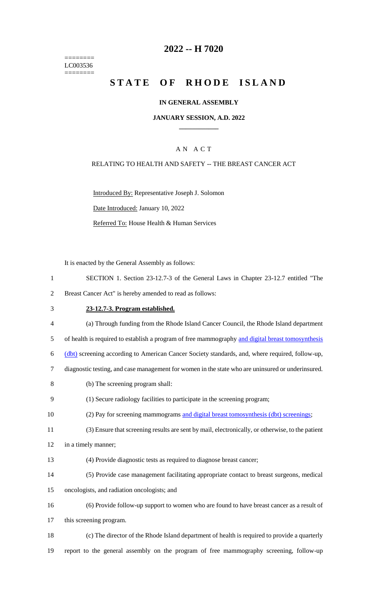======== LC003536  $=$ 

# **2022 -- H 7020**

# STATE OF RHODE ISLAND

### **IN GENERAL ASSEMBLY**

#### **JANUARY SESSION, A.D. 2022 \_\_\_\_\_\_\_\_\_\_\_\_**

## A N A C T

### RELATING TO HEALTH AND SAFETY -- THE BREAST CANCER ACT

Introduced By: Representative Joseph J. Solomon Date Introduced: January 10, 2022 Referred To: House Health & Human Services

It is enacted by the General Assembly as follows:

| $\mathbf{1}$   | SECTION 1. Section 23-12.7-3 of the General Laws in Chapter 23-12.7 entitled "The                 |
|----------------|---------------------------------------------------------------------------------------------------|
| $\overline{2}$ | Breast Cancer Act" is hereby amended to read as follows:                                          |
| 3              | 23-12.7-3. Program established.                                                                   |
| $\overline{4}$ | (a) Through funding from the Rhode Island Cancer Council, the Rhode Island department             |
| 5              | of health is required to establish a program of free mammography and digital breast tomosynthesis |
| 6              | (dbt) screening according to American Cancer Society standards, and, where required, follow-up,   |
| 7              | diagnostic testing, and case management for women in the state who are uninsured or underinsured. |
| 8              | (b) The screening program shall:                                                                  |
| 9              | (1) Secure radiology facilities to participate in the screening program;                          |
| 10             | (2) Pay for screening mammograms and digital breast tomosynthesis (dbt) screenings;               |
| 11             | (3) Ensure that screening results are sent by mail, electronically, or otherwise, to the patient  |
| 12             | in a timely manner;                                                                               |
| 13             | (4) Provide diagnostic tests as required to diagnose breast cancer;                               |
| 14             | (5) Provide case management facilitating appropriate contact to breast surgeons, medical          |
| 15             | oncologists, and radiation oncologists; and                                                       |
| 16             | (6) Provide follow-up support to women who are found to have breast cancer as a result of         |
| 17             | this screening program.                                                                           |
| 18             | (c) The director of the Rhode Island department of health is required to provide a quarterly      |
| 19             | report to the general assembly on the program of free mammography screening, follow-up            |
|                |                                                                                                   |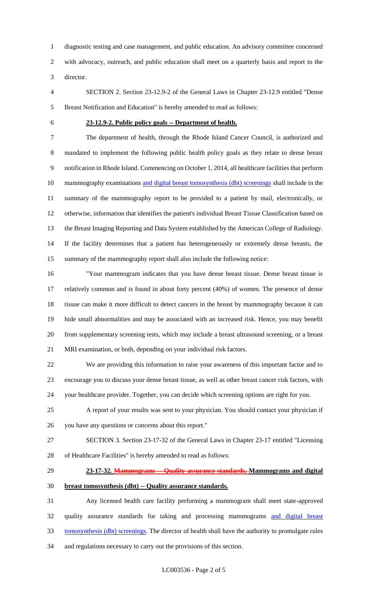diagnostic testing and case management, and public education. An advisory committee concerned with advocacy, outreach, and public education shall meet on a quarterly basis and report to the director.

 SECTION 2. Section 23-12.9-2 of the General Laws in Chapter 23-12.9 entitled "Dense Breast Notification and Education" is hereby amended to read as follows:

#### **23-12.9-2. Public policy goals -- Department of health.**

 The department of health, through the Rhode Island Cancer Council, is authorized and mandated to implement the following public health policy goals as they relate to dense breast notification in Rhode Island. Commencing on October 1, 2014, all healthcare facilities that perform 10 mammography examinations and digital breast tomosynthesis (dbt) screenings shall include in the summary of the mammography report to be provided to a patient by mail, electronically, or otherwise, information that identifies the patient's individual Breast Tissue Classification based on the Breast Imaging Reporting and Data System established by the American College of Radiology. If the facility determines that a patient has heterogeneously or extremely dense breasts, the summary of the mammography report shall also include the following notice:

 "Your mammogram indicates that you have dense breast tissue. Dense breast tissue is relatively common and is found in about forty percent (40%) of women. The presence of dense tissue can make it more difficult to detect cancers in the breast by mammography because it can hide small abnormalities and may be associated with an increased risk. Hence, you may benefit from supplementary screening tests, which may include a breast ultrasound screening, or a breast MRI examination, or both, depending on your individual risk factors.

 We are providing this information to raise your awareness of this important factor and to encourage you to discuss your dense breast tissue, as well as other breast cancer risk factors, with your healthcare provider. Together, you can decide which screening options are right for you.

- A report of your results was sent to your physician. You should contact your physician if
- you have any questions or concerns about this report."
- SECTION 3. Section 23-17-32 of the General Laws in Chapter 23-17 entitled "Licensing of Healthcare Facilities" is hereby amended to read as follows:
- 

#### **23-17-32. Mammograms -- Quality assurance standards. Mammograms and digital**

**breast tomosynthesis (dbt) -- Quality assurance standards.**

 Any licensed health care facility performing a mammogram shall meet state-approved quality assurance standards for taking and processing mammograms and digital breast tomosynthesis (dbt) screenings. The director of health shall have the authority to promulgate rules and regulations necessary to carry out the provisions of this section.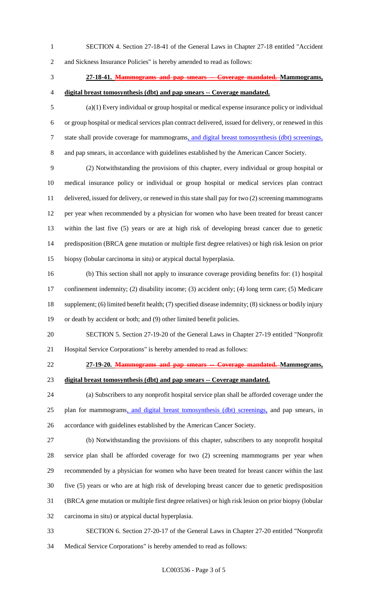SECTION 4. Section 27-18-41 of the General Laws in Chapter 27-18 entitled "Accident

and Sickness Insurance Policies" is hereby amended to read as follows:

# **27-18-41. Mammograms and pap smears -- Coverage mandated. Mammograms,**

**digital breast tomosynthesis (dbt) and pap smears -- Coverage mandated.**

 (a)(1) Every individual or group hospital or medical expense insurance policy or individual or group hospital or medical services plan contract delivered, issued for delivery, or renewed in this state shall provide coverage for mammograms, and digital breast tomosynthesis (dbt) screenings, and pap smears, in accordance with guidelines established by the American Cancer Society.

 (2) Notwithstanding the provisions of this chapter, every individual or group hospital or medical insurance policy or individual or group hospital or medical services plan contract delivered, issued for delivery, or renewed in this state shall pay for two (2) screening mammograms per year when recommended by a physician for women who have been treated for breast cancer within the last five (5) years or are at high risk of developing breast cancer due to genetic predisposition (BRCA gene mutation or multiple first degree relatives) or high risk lesion on prior biopsy (lobular carcinoma in situ) or atypical ductal hyperplasia.

 (b) This section shall not apply to insurance coverage providing benefits for: (1) hospital confinement indemnity; (2) disability income; (3) accident only; (4) long term care; (5) Medicare supplement; (6) limited benefit health; (7) specified disease indemnity; (8) sickness or bodily injury or death by accident or both; and (9) other limited benefit policies.

- SECTION 5. Section 27-19-20 of the General Laws in Chapter 27-19 entitled "Nonprofit Hospital Service Corporations" is hereby amended to read as follows:
- **27-19-20. Mammograms and pap smears -- Coverage mandated. Mammograms,**
- 

# **digital breast tomosynthesis (dbt) and pap smears -- Coverage mandated.**

 (a) Subscribers to any nonprofit hospital service plan shall be afforded coverage under the 25 plan for mammograms, and digital breast tomosynthesis (dbt) screenings, and pap smears, in accordance with guidelines established by the American Cancer Society.

 (b) Notwithstanding the provisions of this chapter, subscribers to any nonprofit hospital service plan shall be afforded coverage for two (2) screening mammograms per year when recommended by a physician for women who have been treated for breast cancer within the last five (5) years or who are at high risk of developing breast cancer due to genetic predisposition (BRCA gene mutation or multiple first degree relatives) or high risk lesion on prior biopsy (lobular carcinoma in situ) or atypical ductal hyperplasia.

- SECTION 6. Section 27-20-17 of the General Laws in Chapter 27-20 entitled "Nonprofit
- Medical Service Corporations" is hereby amended to read as follows: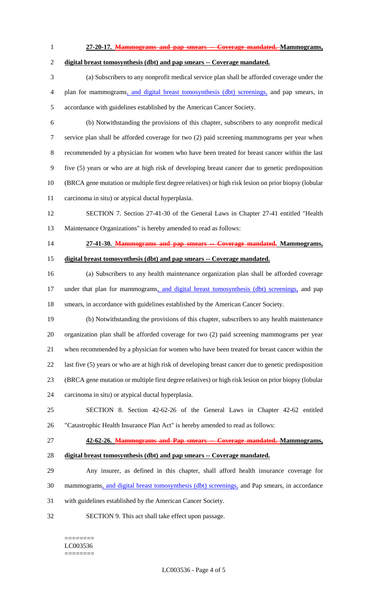- **27-20-17. Mammograms and pap smears -- Coverage mandated. Mammograms,**
- **digital breast tomosynthesis (dbt) and pap smears -- Coverage mandated.** (a) Subscribers to any nonprofit medical service plan shall be afforded coverage under the plan for mammograms, and digital breast tomosynthesis (dbt) screenings, and pap smears, in accordance with guidelines established by the American Cancer Society. (b) Notwithstanding the provisions of this chapter, subscribers to any nonprofit medical service plan shall be afforded coverage for two (2) paid screening mammograms per year when recommended by a physician for women who have been treated for breast cancer within the last five (5) years or who are at high risk of developing breast cancer due to genetic predisposition (BRCA gene mutation or multiple first degree relatives) or high risk lesion on prior biopsy (lobular carcinoma in situ) or atypical ductal hyperplasia. SECTION 7. Section 27-41-30 of the General Laws in Chapter 27-41 entitled "Health Maintenance Organizations" is hereby amended to read as follows: **27-41-30. Mammograms and pap smears -- Coverage mandated. Mammograms, digital breast tomosynthesis (dbt) and pap smears -- Coverage mandated.** (a) Subscribers to any health maintenance organization plan shall be afforded coverage 17 under that plan for mammograms, and digital breast tomosynthesis (dbt) screenings, and pap smears, in accordance with guidelines established by the American Cancer Society. (b) Notwithstanding the provisions of this chapter, subscribers to any health maintenance organization plan shall be afforded coverage for two (2) paid screening mammograms per year when recommended by a physician for women who have been treated for breast cancer within the last five (5) years or who are at high risk of developing breast cancer due to genetic predisposition (BRCA gene mutation or multiple first degree relatives) or high risk lesion on prior biopsy (lobular carcinoma in situ) or atypical ductal hyperplasia. SECTION 8. Section 42-62-26 of the General Laws in Chapter 42-62 entitled "Catastrophic Health Insurance Plan Act" is hereby amended to read as follows: **42-62-26. Mammograms and Pap smears -- Coverage mandated. Mammograms, digital breast tomosynthesis (dbt) and pap smears -- Coverage mandated.** Any insurer, as defined in this chapter, shall afford health insurance coverage for mammograms, and digital breast tomosynthesis (dbt) screenings, and Pap smears, in accordance with guidelines established by the American Cancer Society. SECTION 9. This act shall take effect upon passage.

#### ======== LC003536